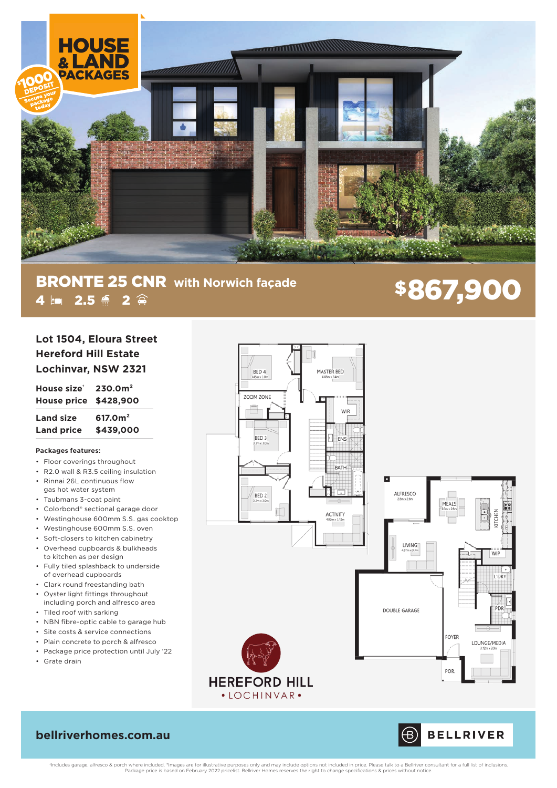

# **BRONTE 25 CNR** with Norwich façade<br>
4 Em 2.5  $\leq$  2  $\approx$  $\overline{4}$  **2.5**  $\frac{2}{3}$   $\overline{2}$   $\hat{2}$

| Lot 1504, Eloura Street     |
|-----------------------------|
| <b>Hereford Hill Estate</b> |
| Lochinvar, NSW 2321         |

**House size† 230.0m² House price \$428,900 Land size 617.0m² Land price \$439,000**

## **Packages features:**

- Floor coverings throughout
- R2.0 wall & R3.5 ceiling insulation
- Rinnai 26L continuous flow
- gas hot water system
- Taubmans 3-coat paint
- Colorbond® sectional garage door
- Westinghouse 600mm S.S. gas cooktop
- Westinghouse 600mm S.S. oven
- Soft-closers to kitchen cabinetry
- Overhead cupboards & bulkheads to kitchen as per design
- Fully tiled splashback to underside of overhead cupboards
- Clark round freestanding bath
- Oyster light fittings throughout including porch and alfresco area
- Tiled roof with sarking
- NBN fibre-optic cable to garage hub
- Site costs & service connections
- Plain concrete to porch & alfresco
- Package price protection until July '22 • Grate drain



# **bellriverhomes.com.au**